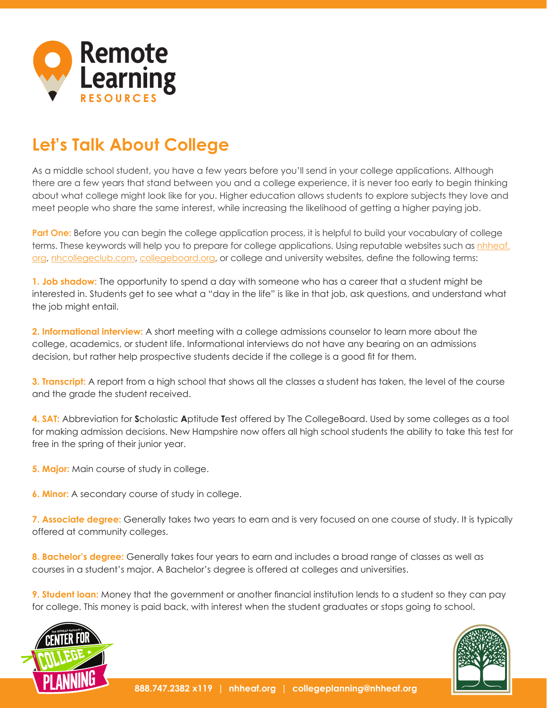

## **Let's Talk About College**

As a middle school student, you have a few years before you'll send in your college applications. Although there are a few years that stand between you and a college experience, it is never too early to begin thinking about what college might look like for you. Higher education allows students to explore subjects they love and meet people who share the same interest, while increasing the likelihood of getting a higher paying job.

**Part One:** Before you can begin the college application process, it is helpful to build your vocabulary of college terms. These keywords will help you to prepare for college applications. Using reputable websites such as [nhheaf.](https://www.nhheaf.org/index.asp) [org,](https://www.nhheaf.org/index.asp) [nhcollegeclub.com](http://www.nhcollegeclub.com/), [collegeboard.org](https://www.collegeboard.org/), or college and university websites, define the following terms:

**1. Job shadow:** The opportunity to spend a day with someone who has a career that a student might be interested in. Students get to see what a "day in the life" is like in that job, ask questions, and understand what the job might entail.

**2. Informational interview:** A short meeting with a college admissions counselor to learn more about the college, academics, or student life. Informational interviews do not have any bearing on an admissions decision, but rather help prospective students decide if the college is a good fit for them.

**3. Transcript:** A report from a high school that shows all the classes a student has taken, the level of the course and the grade the student received.

**4. SAT:** Abbreviation for **S**cholastic **A**ptitude **T**est offered by The CollegeBoard. Used by some colleges as a tool for making admission decisions. New Hampshire now offers all high school students the ability to take this test for free in the spring of their junior year.

**5. Major:** Main course of study in college.

**6. Minor:** A secondary course of study in college.

**7. Associate degree:** Generally takes two years to earn and is very focused on one course of study. It is typically offered at community colleges.

**8. Bachelor's degree:** Generally takes four years to earn and includes a broad range of classes as well as courses in a student's major. A Bachelor's degree is offered at colleges and universities.

**9. Student loan:** Money that the government or another financial institution lends to a student so they can pay for college. This money is paid back, with interest when the student graduates or stops going to school.